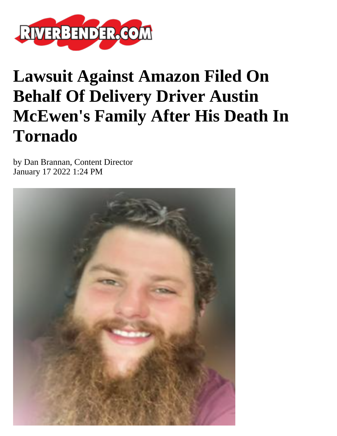

## **Lawsuit Against Amazon Filed On Behalf Of Delivery Driver Austin McEwen's Family After His Death In Tornado**

by Dan Brannan, Content Director January 17 2022 1:24 PM

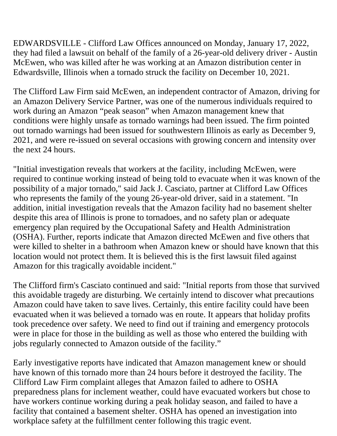EDWARDSVILLE - Clifford Law Offices announced on Monday, January 17, 2022, they had filed a lawsuit on behalf of the family of a 26-year-old delivery driver - Austin McEwen, who was killed after he was working at an Amazon distribution center in Edwardsville, Illinois when a tornado struck the facility on December 10, 2021.

The Clifford Law Firm said McEwen, an independent contractor of Amazon, driving for an Amazon Delivery Service Partner, was one of the numerous individuals required to work during an Amazon "peak season" when Amazon management knew that conditions were highly unsafe as tornado warnings had been issued. The firm pointed out tornado warnings had been issued for southwestern Illinois as early as December 9, 2021, and were re-issued on several occasions with growing concern and intensity over the next 24 hours.

"Initial investigation reveals that workers at the facility, including McEwen, were required to continue working instead of being told to evacuate when it was known of the possibility of a major tornado," said Jack J. Casciato, partner at Clifford Law Offices who represents the family of the young 26-year-old driver, said in a statement. "In addition, initial investigation reveals that the Amazon facility had no basement shelter despite this area of Illinois is prone to tornadoes, and no safety plan or adequate emergency plan required by the Occupational Safety and Health Administration (OSHA). Further, reports indicate that Amazon directed McEwen and five others that were killed to shelter in a bathroom when Amazon knew or should have known that this location would not protect them. It is believed this is the first lawsuit filed against Amazon for this tragically avoidable incident."

The Clifford firm's Casciato continued and said: "Initial reports from those that survived this avoidable tragedy are disturbing. We certainly intend to discover what precautions Amazon could have taken to save lives. Certainly, this entire facility could have been evacuated when it was believed a tornado was en route. It appears that holiday profits took precedence over safety. We need to find out if training and emergency protocols were in place for those in the building as well as those who entered the building with jobs regularly connected to Amazon outside of the facility."

Early investigative reports have indicated that Amazon management knew or should have known of this tornado more than 24 hours before it destroyed the facility. The Clifford Law Firm complaint alleges that Amazon failed to adhere to OSHA preparedness plans for inclement weather, could have evacuated workers but chose to have workers continue working during a peak holiday season, and failed to have a facility that contained a basement shelter. OSHA has opened an investigation into workplace safety at the fulfillment center following this tragic event.